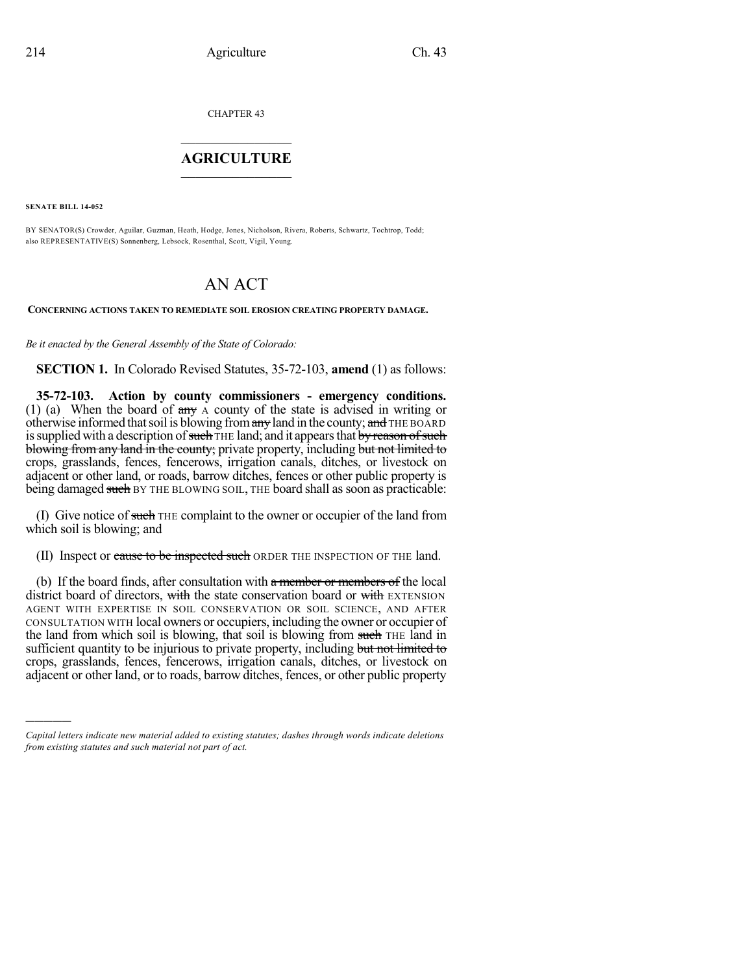CHAPTER 43

## $\overline{\phantom{a}}$  . The set of the set of the set of the set of the set of the set of the set of the set of the set of the set of the set of the set of the set of the set of the set of the set of the set of the set of the set o **AGRICULTURE**  $\_$   $\_$   $\_$   $\_$   $\_$   $\_$   $\_$   $\_$

**SENATE BILL 14-052**

)))))

BY SENATOR(S) Crowder, Aguilar, Guzman, Heath, Hodge, Jones, Nicholson, Rivera, Roberts, Schwartz, Tochtrop, Todd; also REPRESENTATIVE(S) Sonnenberg, Lebsock, Rosenthal, Scott, Vigil, Young.

## AN ACT

**CONCERNING ACTIONS TAKEN TO REMEDIATE SOIL EROSION CREATING PROPERTY DAMAGE.**

*Be it enacted by the General Assembly of the State of Colorado:*

**SECTION 1.** In Colorado Revised Statutes, 35-72-103, **amend** (1) as follows:

**35-72-103. Action by county commissioners - emergency conditions.** (1) (a) When the board of any A county of the state is advised in writing or otherwise informed that soil is blowing from any land in the county; and THE BOARD is supplied with a description of such THE land; and it appears that by reason of such blowing from any land in the county; private property, including but not limited to crops, grasslands, fences, fencerows, irrigation canals, ditches, or livestock on adjacent or other land, or roads, barrow ditches, fences or other public property is being damaged such BY THE BLOWING SOIL, THE board shall as soon as practicable:

(I) Give notice of such THE complaint to the owner or occupier of the land from which soil is blowing; and

(II) Inspect or cause to be inspected such ORDER THE INSPECTION OF THE land.

(b) If the board finds, after consultation with a member or members of the local district board of directors, with the state conservation board or with EXTENSION AGENT WITH EXPERTISE IN SOIL CONSERVATION OR SOIL SCIENCE, AND AFTER CONSULTATION WITH local owners or occupiers, including the owner or occupier of the land from which soil is blowing, that soil is blowing from such THE land in sufficient quantity to be injurious to private property, including but not limited to crops, grasslands, fences, fencerows, irrigation canals, ditches, or livestock on adjacent or other land, or to roads, barrow ditches, fences, or other public property

*Capital letters indicate new material added to existing statutes; dashes through words indicate deletions from existing statutes and such material not part of act.*